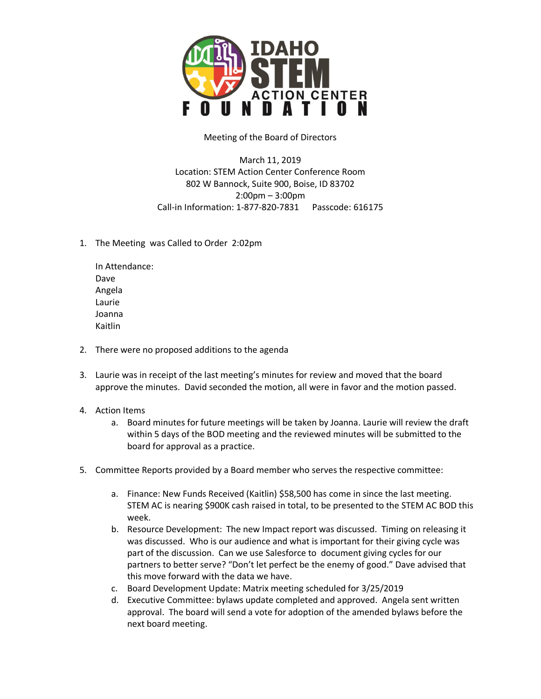

Meeting of the Board of Directors

March 11, 2019 Location: STEM Action Center Conference Room 802 W Bannock, Suite 900, Boise, ID 83702 2:00pm – 3:00pm Call-in Information: 1-877-820-7831 Passcode: 616175

1. The Meeting was Called to Order 2:02pm

In Attendance: Dave Angela Laurie Joanna Kaitlin

- 2. There were no proposed additions to the agenda
- 3. Laurie was in receipt of the last meeting's minutes for review and moved that the board approve the minutes. David seconded the motion, all were in favor and the motion passed.
- 4. Action Items
	- a. Board minutes for future meetings will be taken by Joanna. Laurie will review the draft within 5 days of the BOD meeting and the reviewed minutes will be submitted to the board for approval as a practice.
- 5. Committee Reports provided by a Board member who serves the respective committee:
	- a. Finance: New Funds Received (Kaitlin) \$58,500 has come in since the last meeting. STEM AC is nearing \$900K cash raised in total, to be presented to the STEM AC BOD this week.
	- b. Resource Development: The new Impact report was discussed. Timing on releasing it was discussed. Who is our audience and what is important for their giving cycle was part of the discussion. Can we use Salesforce to document giving cycles for our partners to better serve? "Don't let perfect be the enemy of good." Dave advised that this move forward with the data we have.
	- c. Board Development Update: Matrix meeting scheduled for 3/25/2019
	- d. Executive Committee: bylaws update completed and approved. Angela sent written approval. The board will send a vote for adoption of the amended bylaws before the next board meeting.